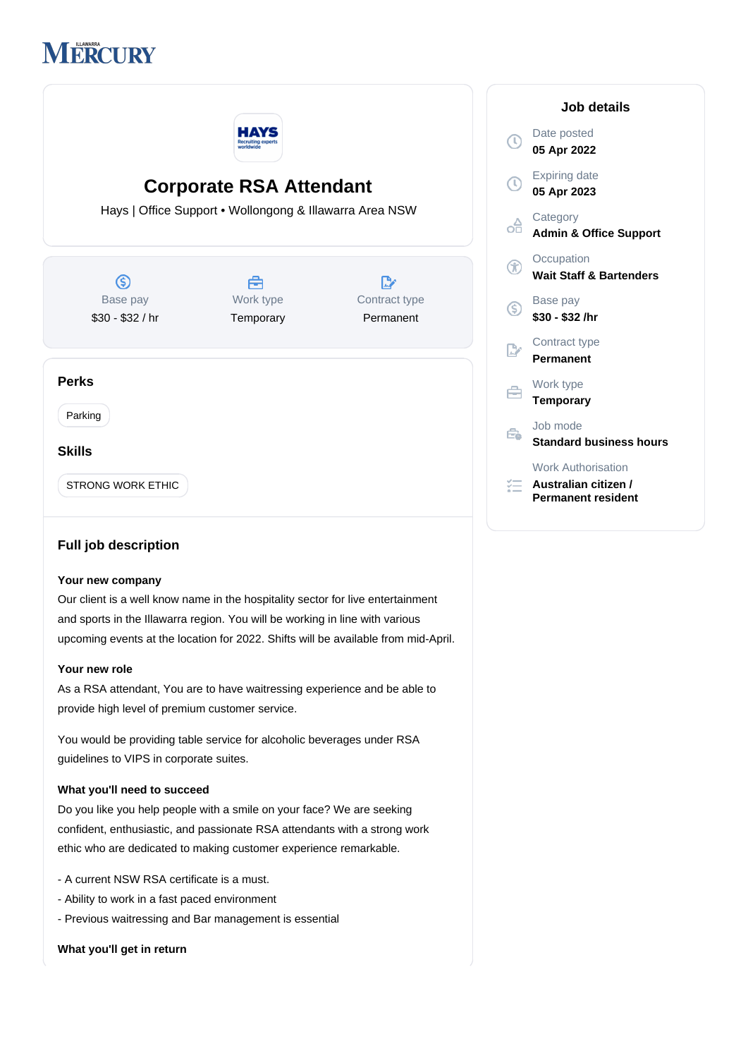



# **Full job description**

## **Your new company**

Our client is a well know name in the hospitality sector for live entertainment and sports in the Illawarra region. You will be working in line with various upcoming events at the location for 2022. Shifts will be available from mid-April.

### **Your new role**

As a RSA attendant, You are to have waitressing experience and be able to provide high level of premium customer service.

You would be providing table service for alcoholic beverages under RSA guidelines to VIPS in corporate suites.

# **What you'll need to succeed**

Do you like you help people with a smile on your face? We are seeking confident, enthusiastic, and passionate RSA attendants with a strong work ethic who are dedicated to making customer experience remarkable.

- A current NSW RSA certificate is a must.
- Ability to work in a fast paced environment
- Previous waitressing and Bar management is essential

## **What you'll get in return**

# **Job details Admin & Office Support Wait Staff & Bartenders Standard business hours**

*<del>E</del>* Australian citizen / **Permanent resident**